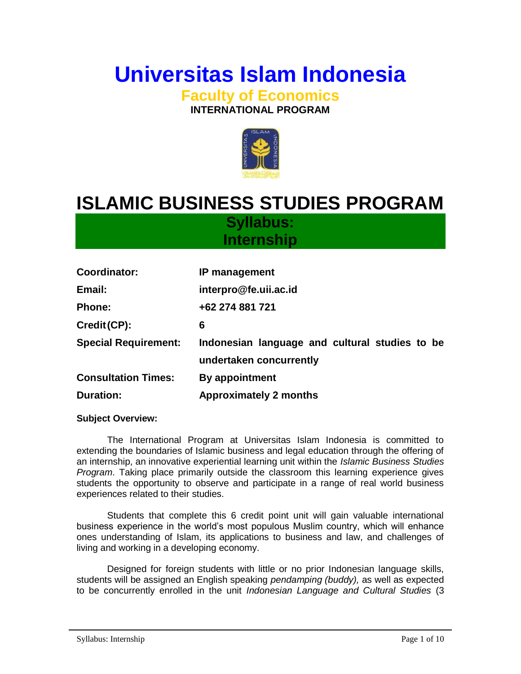# **Universitas Islam Indonesia**

**Faculty of Economics INTERNATIONAL PROGRAM**



## **ISLAMIC BUSINESS STUDIES PROGRAM**

**Syllabus: Internship**

| <b>Coordinator:</b>         | IP management                                                             |
|-----------------------------|---------------------------------------------------------------------------|
| Email:                      | interpro@fe.uii.ac.id                                                     |
| <b>Phone:</b>               | +62 274 881 721                                                           |
| Credit (CP):                | 6                                                                         |
| <b>Special Requirement:</b> | Indonesian language and cultural studies to be<br>undertaken concurrently |
| <b>Consultation Times:</b>  | By appointment                                                            |
| <b>Duration:</b>            | <b>Approximately 2 months</b>                                             |

#### **Subject Overview:**

The International Program at Universitas Islam Indonesia is committed to extending the boundaries of Islamic business and legal education through the offering of an internship, an innovative experiential learning unit within the *Islamic Business Studies Program*. Taking place primarily outside the classroom this learning experience gives students the opportunity to observe and participate in a range of real world business experiences related to their studies.

Students that complete this 6 credit point unit will gain valuable international business experience in the world's most populous Muslim country, which will enhance ones understanding of Islam, its applications to business and law, and challenges of living and working in a developing economy.

Designed for foreign students with little or no prior Indonesian language skills, students will be assigned an English speaking *pendamping (buddy),* as well as expected to be concurrently enrolled in the unit *Indonesian Language and Cultural Studies* (3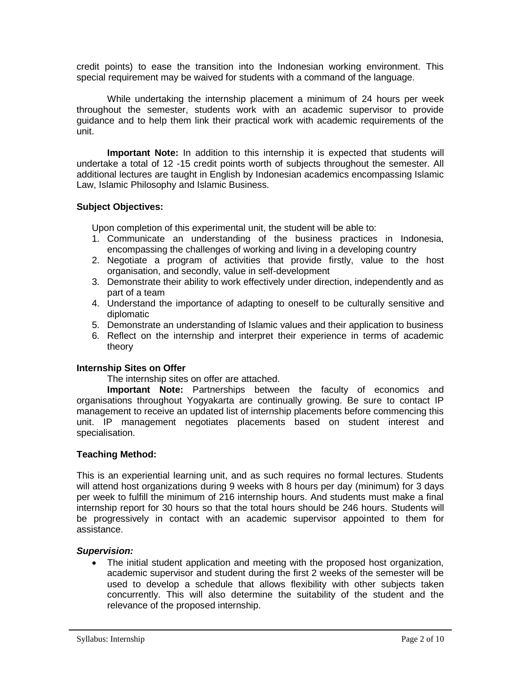credit points) to ease the transition into the Indonesian working environment. This special requirement may be waived for students with a command of the language.

While undertaking the internship placement a minimum of 24 hours per week throughout the semester, students work with an academic supervisor to provide guidance and to help them link their practical work with academic requirements of the unit.

**Important Note:** In addition to this internship it is expected that students will undertake a total of 12 -15 credit points worth of subjects throughout the semester. All additional lectures are taught in English by Indonesian academics encompassing Islamic Law, Islamic Philosophy and Islamic Business.

#### **Subject Objectives:**

Upon completion of this experimental unit, the student will be able to:

- 1. Communicate an understanding of the business practices in Indonesia, encompassing the challenges of working and living in a developing country
- 2. Negotiate a program of activities that provide firstly, value to the host organisation, and secondly, value in self-development
- 3. Demonstrate their ability to work effectively under direction, independently and as part of a team
- 4. Understand the importance of adapting to oneself to be culturally sensitive and diplomatic
- 5. Demonstrate an understanding of Islamic values and their application to business
- 6. Reflect on the internship and interpret their experience in terms of academic theory

#### **Internship Sites on Offer**

#### The internship sites on offer are attached.

**Important Note:** Partnerships between the faculty of economics and organisations throughout Yogyakarta are continually growing. Be sure to contact IP management to receive an updated list of internship placements before commencing this unit. IP management negotiates placements based on student interest and specialisation.

#### **Teaching Method:**

This is an experiential learning unit, and as such requires no formal lectures. Students will attend host organizations during 9 weeks with 8 hours per day (minimum) for 3 days per week to fulfill the minimum of 216 internship hours. And students must make a final internship report for 30 hours so that the total hours should be 246 hours. Students will be progressively in contact with an academic supervisor appointed to them for assistance.

#### *Supervision:*

 The initial student application and meeting with the proposed host organization, academic supervisor and student during the first 2 weeks of the semester will be used to develop a schedule that allows flexibility with other subjects taken concurrently. This will also determine the suitability of the student and the relevance of the proposed internship.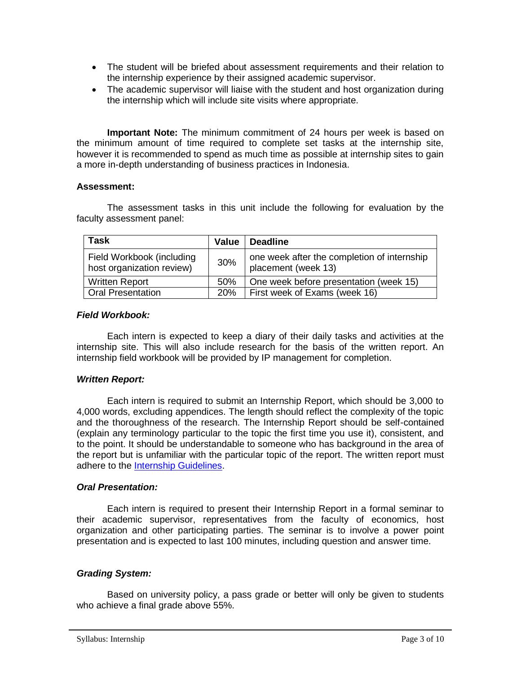- The student will be briefed about assessment requirements and their relation to the internship experience by their assigned academic supervisor.
- The academic supervisor will liaise with the student and host organization during the internship which will include site visits where appropriate.

**Important Note:** The minimum commitment of 24 hours per week is based on the minimum amount of time required to complete set tasks at the internship site, however it is recommended to spend as much time as possible at internship sites to gain a more in-depth understanding of business practices in Indonesia.

#### **Assessment:**

The assessment tasks in this unit include the following for evaluation by the faculty assessment panel:

| <b>Task</b>                                            | Value      | <b>Deadline</b>                                                    |
|--------------------------------------------------------|------------|--------------------------------------------------------------------|
| Field Workbook (including<br>host organization review) | 30%        | one week after the completion of internship<br>placement (week 13) |
| <b>Written Report</b>                                  | 50%        | One week before presentation (week 15)                             |
| <b>Oral Presentation</b>                               | <b>20%</b> | First week of Exams (week 16)                                      |

#### *Field Workbook:*

Each intern is expected to keep a diary of their daily tasks and activities at the internship site. This will also include research for the basis of the written report. An internship field workbook will be provided by IP management for completion.

#### *Written Report:*

Each intern is required to submit an Internship Report, which should be 3,000 to 4,000 words, excluding appendices. The length should reflect the complexity of the topic and the thoroughness of the research. The Internship Report should be self-contained (explain any terminology particular to the topic the first time you use it), consistent, and to the point. It should be understandable to someone who has background in the area of the report but is unfamiliar with the particular topic of the report. The written report must adhere to the [Internship Guidelines.](#page-5-0)

#### *Oral Presentation:*

Each intern is required to present their Internship Report in a formal seminar to their academic supervisor, representatives from the faculty of economics, host organization and other participating parties. The seminar is to involve a power point presentation and is expected to last 100 minutes, including question and answer time.

#### *Grading System:*

Based on university policy, a pass grade or better will only be given to students who achieve a final grade above 55%.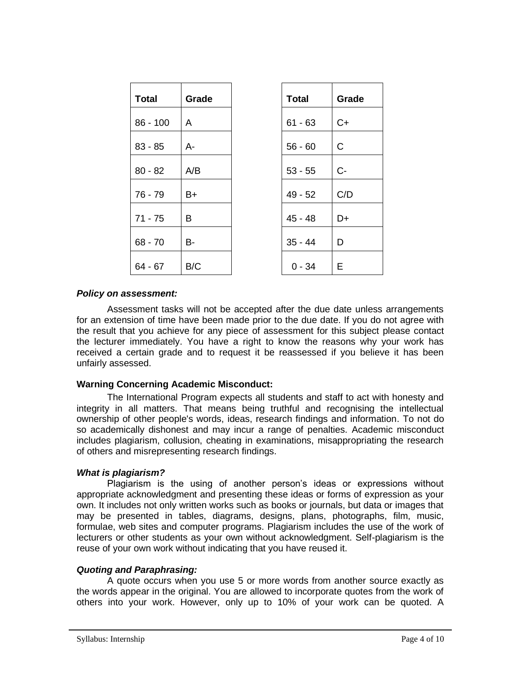| <b>Total</b> | Grade     | <b>Total</b> | Grade        |
|--------------|-----------|--------------|--------------|
| $86 - 100$   | A         | $61 - 63$    | $C+$         |
| $83 - 85$    | A-        | $56 - 60$    | $\mathsf{C}$ |
| $80 - 82$    | A/B       | $53 - 55$    | $C -$        |
| $76 - 79$    | $B+$      | $49 - 52$    | C/D          |
| $71 - 75$    | B         | $45 - 48$    | D+           |
| $68 - 70$    | <b>B-</b> | $35 - 44$    | D            |
| $64 - 67$    | B/C       | $0 - 34$     | Е            |

#### *Policy on assessment:*

Assessment tasks will not be accepted after the due date unless arrangements for an extension of time have been made prior to the due date. If you do not agree with the result that you achieve for any piece of assessment for this subject please contact the lecturer immediately. You have a right to know the reasons why your work has received a certain grade and to request it be reassessed if you believe it has been unfairly assessed.

#### **Warning Concerning Academic Misconduct:**

The International Program expects all students and staff to act with honesty and integrity in all matters. That means being truthful and recognising the intellectual ownership of other people's words, ideas, research findings and information. To not do so academically dishonest and may incur a range of penalties. Academic misconduct includes plagiarism, collusion, cheating in examinations, misappropriating the research of others and misrepresenting research findings.

#### *What is plagiarism?*

Plagiarism is the using of another person's ideas or expressions without appropriate acknowledgment and presenting these ideas or forms of expression as your own. It includes not only written works such as books or journals, but data or images that may be presented in tables, diagrams, designs, plans, photographs, film, music, formulae, web sites and computer programs. Plagiarism includes the use of the work of lecturers or other students as your own without acknowledgment. Self-plagiarism is the reuse of your own work without indicating that you have reused it.

#### *Quoting and Paraphrasing:*

A quote occurs when you use 5 or more words from another source exactly as the words appear in the original. You are allowed to incorporate quotes from the work of others into your work. However, only up to 10% of your work can be quoted. A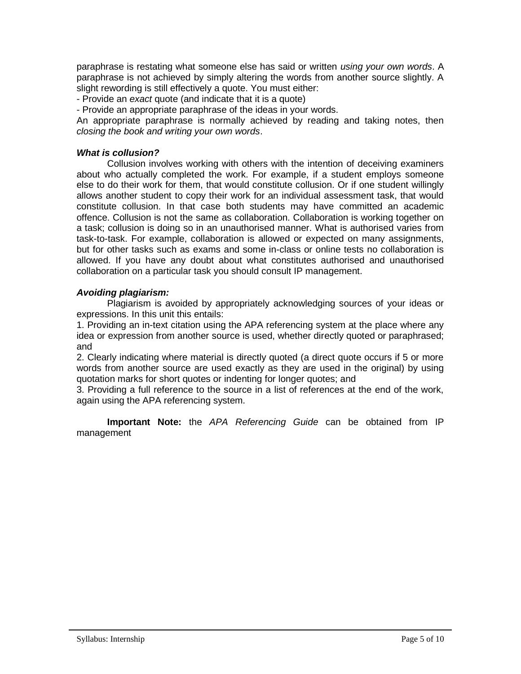paraphrase is restating what someone else has said or written *using your own words*. A paraphrase is not achieved by simply altering the words from another source slightly. A slight rewording is still effectively a quote. You must either:

- Provide an *exact* quote (and indicate that it is a quote)

- Provide an appropriate paraphrase of the ideas in your words.

An appropriate paraphrase is normally achieved by reading and taking notes, then *closing the book and writing your own words*.

#### *What is collusion?*

Collusion involves working with others with the intention of deceiving examiners about who actually completed the work. For example, if a student employs someone else to do their work for them, that would constitute collusion. Or if one student willingly allows another student to copy their work for an individual assessment task, that would constitute collusion. In that case both students may have committed an academic offence. Collusion is not the same as collaboration. Collaboration is working together on a task; collusion is doing so in an unauthorised manner. What is authorised varies from task-to-task. For example, collaboration is allowed or expected on many assignments, but for other tasks such as exams and some in-class or online tests no collaboration is allowed. If you have any doubt about what constitutes authorised and unauthorised collaboration on a particular task you should consult IP management.

#### *Avoiding plagiarism:*

Plagiarism is avoided by appropriately acknowledging sources of your ideas or expressions. In this unit this entails:

1. Providing an in-text citation using the APA referencing system at the place where any idea or expression from another source is used, whether directly quoted or paraphrased; and

2. Clearly indicating where material is directly quoted (a direct quote occurs if 5 or more words from another source are used exactly as they are used in the original) by using quotation marks for short quotes or indenting for longer quotes; and

3. Providing a full reference to the source in a list of references at the end of the work, again using the APA referencing system.

**Important Note:** the *APA Referencing Guide* can be obtained from IP management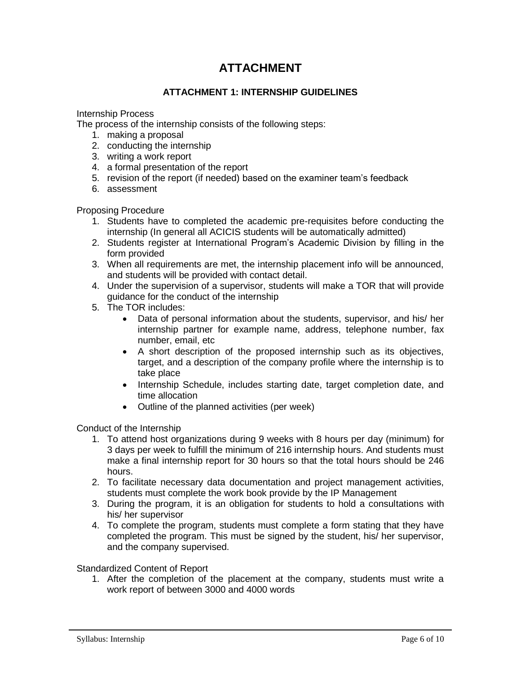### **ATTACHMENT**

#### **ATTACHMENT 1: INTERNSHIP GUIDELINES**

<span id="page-5-0"></span>Internship Process

The process of the internship consists of the following steps:

- 1. making a proposal
- 2. conducting the internship
- 3. writing a work report
- 4. a formal presentation of the report
- 5. revision of the report (if needed) based on the examiner team's feedback
- 6. assessment

Proposing Procedure

- 1. Students have to completed the academic pre-requisites before conducting the internship (In general all ACICIS students will be automatically admitted)
- 2. Students register at International Program's Academic Division by filling in the form provided
- 3. When all requirements are met, the internship placement info will be announced, and students will be provided with contact detail.
- 4. Under the supervision of a supervisor, students will make a TOR that will provide guidance for the conduct of the internship
- 5. The TOR includes:
	- Data of personal information about the students, supervisor, and his/ her internship partner for example name, address, telephone number, fax number, email, etc
	- A short description of the proposed internship such as its objectives, target, and a description of the company profile where the internship is to take place
	- Internship Schedule, includes starting date, target completion date, and time allocation
	- Outline of the planned activities (per week)

Conduct of the Internship

- 1. To attend host organizations during 9 weeks with 8 hours per day (minimum) for 3 days per week to fulfill the minimum of 216 internship hours. And students must make a final internship report for 30 hours so that the total hours should be 246 hours.
- 2. To facilitate necessary data documentation and project management activities, students must complete the work book provide by the IP Management
- 3. During the program, it is an obligation for students to hold a consultations with his/ her supervisor
- 4. To complete the program, students must complete a form stating that they have completed the program. This must be signed by the student, his/ her supervisor, and the company supervised.

Standardized Content of Report

1. After the completion of the placement at the company, students must write a work report of between 3000 and 4000 words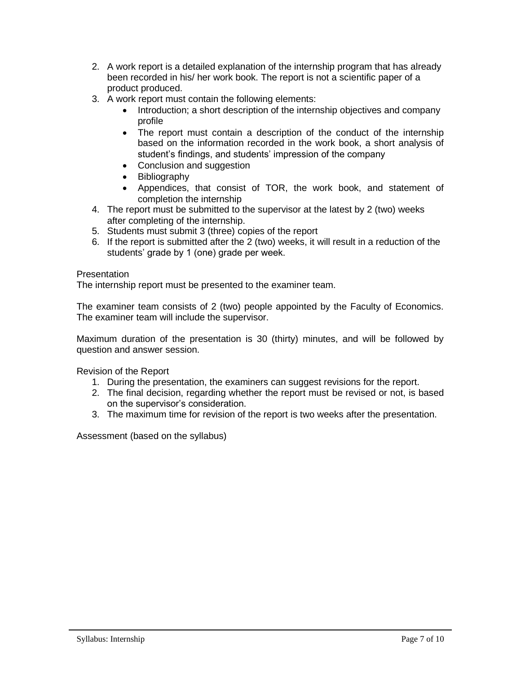- 2. A work report is a detailed explanation of the internship program that has already been recorded in his/ her work book. The report is not a scientific paper of a product produced.
- 3. A work report must contain the following elements:
	- Introduction: a short description of the internship objectives and company profile
	- The report must contain a description of the conduct of the internship based on the information recorded in the work book, a short analysis of student's findings, and students' impression of the company
	- Conclusion and suggestion
	- Bibliography
	- Appendices, that consist of TOR, the work book, and statement of completion the internship
- 4. The report must be submitted to the supervisor at the latest by 2 (two) weeks after completing of the internship.
- 5. Students must submit 3 (three) copies of the report
- 6. If the report is submitted after the 2 (two) weeks, it will result in a reduction of the students' grade by 1 (one) grade per week.

#### **Presentation**

The internship report must be presented to the examiner team.

The examiner team consists of 2 (two) people appointed by the Faculty of Economics. The examiner team will include the supervisor.

Maximum duration of the presentation is 30 (thirty) minutes, and will be followed by question and answer session.

Revision of the Report

- 1. During the presentation, the examiners can suggest revisions for the report.
- 2. The final decision, regarding whether the report must be revised or not, is based on the supervisor's consideration.
- 3. The maximum time for revision of the report is two weeks after the presentation.

Assessment (based on the syllabus)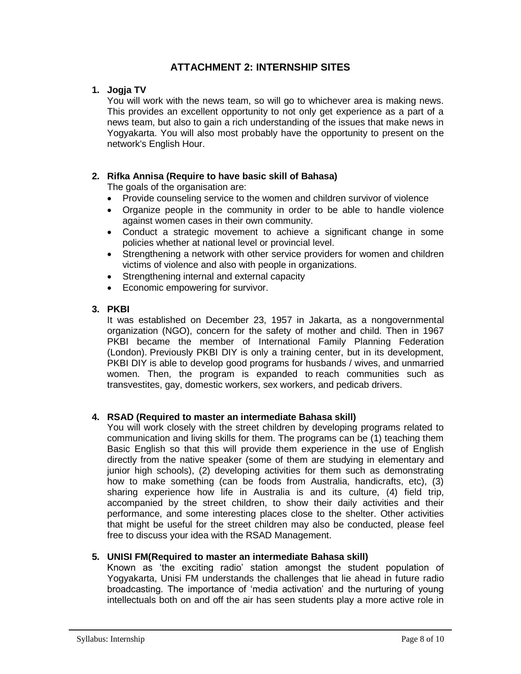#### **ATTACHMENT 2: INTERNSHIP SITES**

#### **1. Jogja TV**

You will work with the news team, so will go to whichever area is making news. This provides an excellent opportunity to not only get experience as a part of a news team, but also to gain a rich understanding of the issues that make news in Yogyakarta. You will also most probably have the opportunity to present on the network's English Hour.

#### **2. Rifka Annisa (Require to have basic skill of Bahasa)**

The goals of the organisation are:

- Provide counseling service to the women and children survivor of violence
- Organize people in the community in order to be able to handle violence against women cases in their own community.
- Conduct a strategic movement to achieve a significant change in some policies whether at national level or provincial level.
- Strengthening a network with other service providers for women and children victims of violence and also with people in organizations.
- Strengthening internal and external capacity
- Economic empowering for survivor.

#### **3. PKBI**

It was established on December 23, 1957 in Jakarta, as a nongovernmental organization (NGO), concern for the safety of mother and child. Then in 1967 PKBI became the member of International Family Planning Federation (London). Previously PKBI DIY is only a training center, but in its development, PKBI DIY is able to develop good programs for husbands / wives, and unmarried women. Then, the program is expanded to reach communities such as transvestites, gay, domestic workers, sex workers, and pedicab drivers.

#### **4. RSAD (Required to master an intermediate Bahasa skill)**

You will work closely with the street children by developing programs related to communication and living skills for them. The programs can be (1) teaching them Basic English so that this will provide them experience in the use of English directly from the native speaker (some of them are studying in elementary and junior high schools), (2) developing activities for them such as demonstrating how to make something (can be foods from Australia, handicrafts, etc), (3) sharing experience how life in Australia is and its culture, (4) field trip, accompanied by the street children, to show their daily activities and their performance, and some interesting places close to the shelter. Other activities that might be useful for the street children may also be conducted, please feel free to discuss your idea with the RSAD Management.

#### **5. UNISI FM(Required to master an intermediate Bahasa skill)**

Known as 'the exciting radio' station amongst the student population of Yogyakarta, Unisi FM understands the challenges that lie ahead in future radio broadcasting. The importance of 'media activation' and the nurturing of young intellectuals both on and off the air has seen students play a more active role in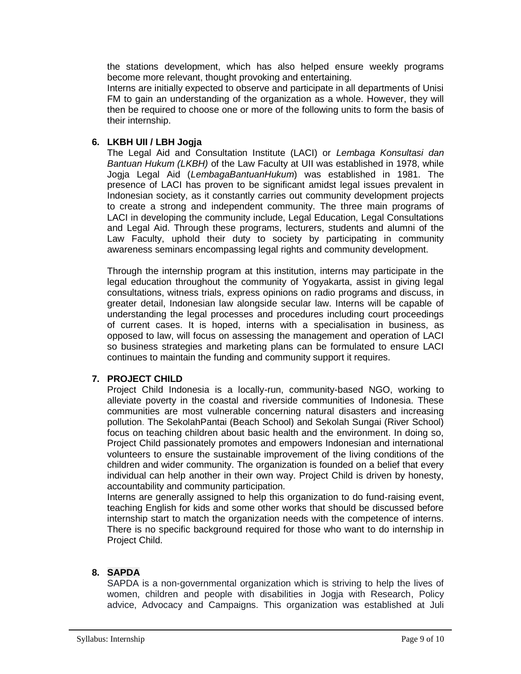the stations development, which has also helped ensure weekly programs become more relevant, thought provoking and entertaining.

Interns are initially expected to observe and participate in all departments of Unisi FM to gain an understanding of the organization as a whole. However, they will then be required to choose one or more of the following units to form the basis of their internship.

#### **6. LKBH UII / LBH Jogja**

The Legal Aid and Consultation Institute (LACI) or *Lembaga Konsultasi dan Bantuan Hukum (LKBH)* of the Law Faculty at UII was established in 1978, while Jogja Legal Aid (*LembagaBantuanHukum*) was established in 1981. The presence of LACI has proven to be significant amidst legal issues prevalent in Indonesian society, as it constantly carries out community development projects to create a strong and independent community. The three main programs of LACI in developing the community include, Legal Education, Legal Consultations and Legal Aid. Through these programs, lecturers, students and alumni of the Law Faculty, uphold their duty to society by participating in community awareness seminars encompassing legal rights and community development.

Through the internship program at this institution, interns may participate in the legal education throughout the community of Yogyakarta, assist in giving legal consultations, witness trials, express opinions on radio programs and discuss, in greater detail, Indonesian law alongside secular law. Interns will be capable of understanding the legal processes and procedures including court proceedings of current cases. It is hoped, interns with a specialisation in business, as opposed to law, will focus on assessing the management and operation of LACI so business strategies and marketing plans can be formulated to ensure LACI continues to maintain the funding and community support it requires.

#### **7. PROJECT CHILD**

Project Child Indonesia is a locally-run, community-based NGO, working to alleviate poverty in the coastal and riverside communities of Indonesia. These communities are most vulnerable concerning natural disasters and increasing pollution. The SekolahPantai (Beach School) and Sekolah Sungai (River School) focus on teaching children about basic health and the environment. In doing so, Project Child passionately promotes and empowers Indonesian and international volunteers to ensure the sustainable improvement of the living conditions of the children and wider community. The organization is founded on a belief that every individual can help another in their own way. Project Child is driven by honesty, accountability and community participation.

Interns are generally assigned to help this organization to do fund-raising event, teaching English for kids and some other works that should be discussed before internship start to match the organization needs with the competence of interns. There is no specific background required for those who want to do internship in Project Child.

#### **8. SAPDA**

SAPDA is a non-governmental organization which is striving to help the lives of women, children and people with disabilities in Jogja with Research, Policy advice, Advocacy and Campaigns. This organization was established at Juli